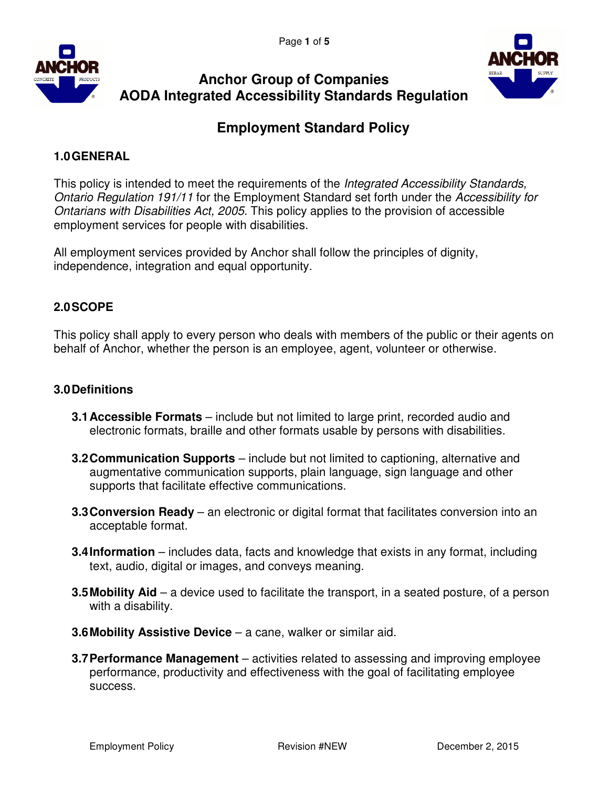



# **Anchor Group of Companies AODA Integrated Accessibility Standards Regulation**

# **Employment Standard Policy**

# **1.0 GENERAL**

This policy is intended to meet the requirements of the *Integrated Accessibility Standards*, Ontario Regulation 191/11 for the Employment Standard set forth under the Accessibility for Ontarians with Disabilities Act, 2005. This policy applies to the provision of accessible employment services for people with disabilities.

All employment services provided by Anchor shall follow the principles of dignity, independence, integration and equal opportunity.

# **2.0 SCOPE**

This policy shall apply to every person who deals with members of the public or their agents on behalf of Anchor, whether the person is an employee, agent, volunteer or otherwise.

## **3.0 Definitions**

- **3.1 Accessible Formats**  include but not limited to large print, recorded audio and electronic formats, braille and other formats usable by persons with disabilities.
- **3.2 Communication Supports** include but not limited to captioning, alternative and augmentative communication supports, plain language, sign language and other supports that facilitate effective communications.
- **3.3 Conversion Ready** an electronic or digital format that facilitates conversion into an acceptable format.
- **3.4 Information** includes data, facts and knowledge that exists in any format, including text, audio, digital or images, and conveys meaning.
- **3.5 Mobility Aid** a device used to facilitate the transport, in a seated posture, of a person with a disability.
- **3.6 Mobility Assistive Device** a cane, walker or similar aid.
- **3.7 Performance Management** activities related to assessing and improving employee performance, productivity and effectiveness with the goal of facilitating employee success.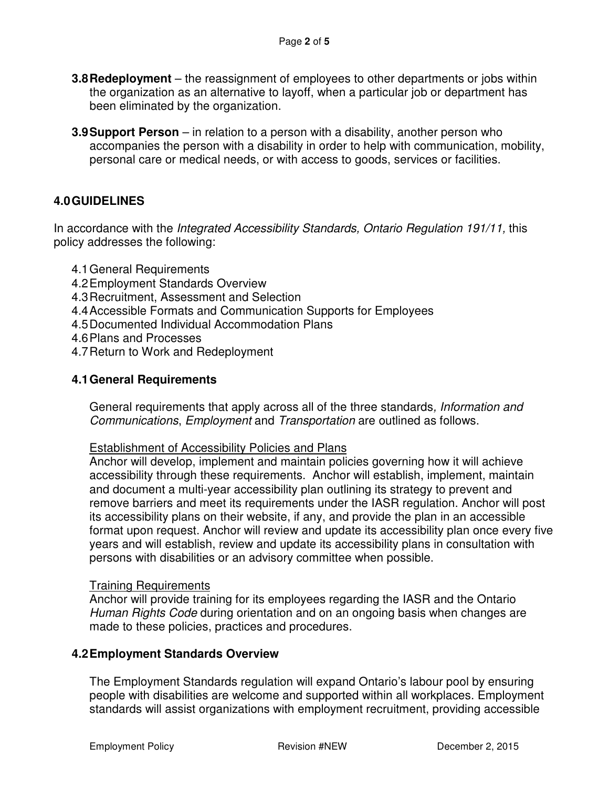- **3.8 Redeployment**  the reassignment of employees to other departments or jobs within the organization as an alternative to layoff, when a particular job or department has been eliminated by the organization.
- **3.9 Support Person** in relation to a person with a disability, another person who accompanies the person with a disability in order to help with communication, mobility, personal care or medical needs, or with access to goods, services or facilities.

# **4.0 GUIDELINES**

In accordance with the Integrated Accessibility Standards, Ontario Regulation 191/11, this policy addresses the following:

- 4.1 General Requirements
- 4.2 Employment Standards Overview
- 4.3 Recruitment, Assessment and Selection
- 4.4 Accessible Formats and Communication Supports for Employees
- 4.5 Documented Individual Accommodation Plans
- 4.6 Plans and Processes
- 4.7 Return to Work and Redeployment

## **4.1 General Requirements**

General requirements that apply across all of the three standards, *Information and* Communications, Employment and Transportation are outlined as follows.

#### Establishment of Accessibility Policies and Plans

Anchor will develop, implement and maintain policies governing how it will achieve accessibility through these requirements. Anchor will establish, implement, maintain and document a multi-year accessibility plan outlining its strategy to prevent and remove barriers and meet its requirements under the IASR regulation. Anchor will post its accessibility plans on their website, if any, and provide the plan in an accessible format upon request. Anchor will review and update its accessibility plan once every five years and will establish, review and update its accessibility plans in consultation with persons with disabilities or an advisory committee when possible.

#### Training Requirements

Anchor will provide training for its employees regarding the IASR and the Ontario Human Rights Code during orientation and on an ongoing basis when changes are made to these policies, practices and procedures.

#### **4.2 Employment Standards Overview**

The Employment Standards regulation will expand Ontario's labour pool by ensuring people with disabilities are welcome and supported within all workplaces. Employment standards will assist organizations with employment recruitment, providing accessible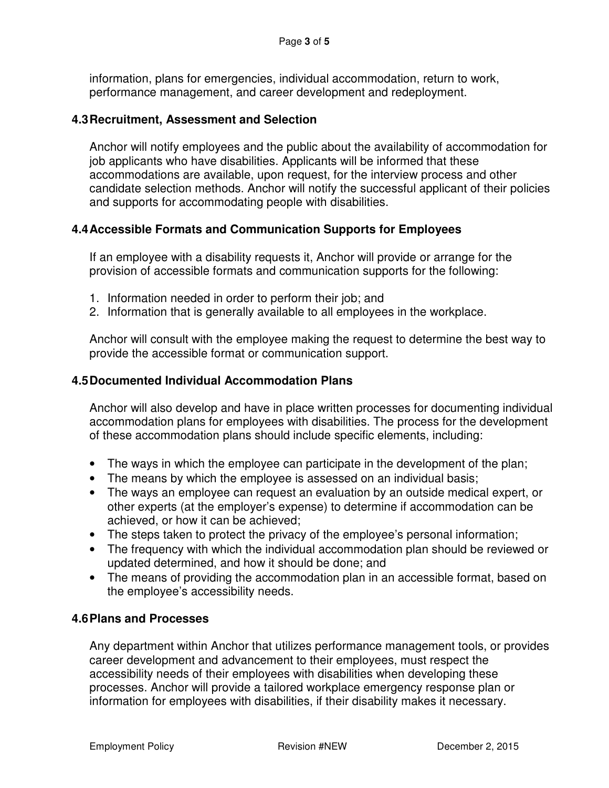information, plans for emergencies, individual accommodation, return to work, performance management, and career development and redeployment.

### **4.3 Recruitment, Assessment and Selection**

Anchor will notify employees and the public about the availability of accommodation for job applicants who have disabilities. Applicants will be informed that these accommodations are available, upon request, for the interview process and other candidate selection methods. Anchor will notify the successful applicant of their policies and supports for accommodating people with disabilities.

## **4.4 Accessible Formats and Communication Supports for Employees**

If an employee with a disability requests it, Anchor will provide or arrange for the provision of accessible formats and communication supports for the following:

- 1. Information needed in order to perform their job; and
- 2. Information that is generally available to all employees in the workplace.

Anchor will consult with the employee making the request to determine the best way to provide the accessible format or communication support.

#### **4.5 Documented Individual Accommodation Plans**

Anchor will also develop and have in place written processes for documenting individual accommodation plans for employees with disabilities. The process for the development of these accommodation plans should include specific elements, including:

- The ways in which the employee can participate in the development of the plan;
- The means by which the employee is assessed on an individual basis;
- The ways an employee can request an evaluation by an outside medical expert, or other experts (at the employer's expense) to determine if accommodation can be achieved, or how it can be achieved;
- The steps taken to protect the privacy of the employee's personal information;
- The frequency with which the individual accommodation plan should be reviewed or updated determined, and how it should be done; and
- The means of providing the accommodation plan in an accessible format, based on the employee's accessibility needs.

## **4.6 Plans and Processes**

Any department within Anchor that utilizes performance management tools, or provides career development and advancement to their employees, must respect the accessibility needs of their employees with disabilities when developing these processes. Anchor will provide a tailored workplace emergency response plan or information for employees with disabilities, if their disability makes it necessary.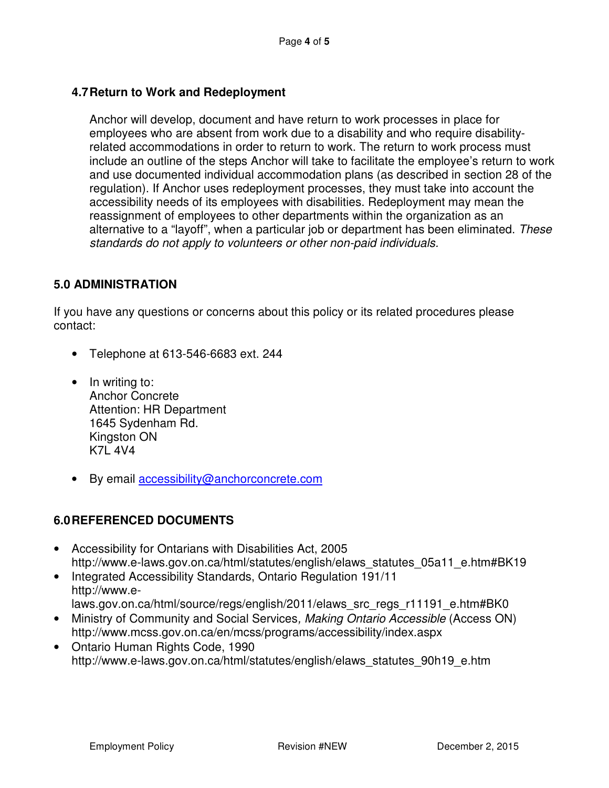# **4.7 Return to Work and Redeployment**

Anchor will develop, document and have return to work processes in place for employees who are absent from work due to a disability and who require disabilityrelated accommodations in order to return to work. The return to work process must include an outline of the steps Anchor will take to facilitate the employee's return to work and use documented individual accommodation plans (as described in section 28 of the regulation). If Anchor uses redeployment processes, they must take into account the accessibility needs of its employees with disabilities. Redeployment may mean the reassignment of employees to other departments within the organization as an alternative to a "layoff", when a particular job or department has been eliminated. These standards do not apply to volunteers or other non-paid individuals.

# **5.0 ADMINISTRATION**

If you have any questions or concerns about this policy or its related procedures please contact:

- Telephone at 613-546-6683 ext. 244
- In writing to: Anchor Concrete Attention: HR Department 1645 Sydenham Rd. Kingston ON K7L 4V4
- By email accessibility@anchorconcrete.com

## **6.0 REFERENCED DOCUMENTS**

- Accessibility for Ontarians with Disabilities Act, 2005 http://www.e-laws.gov.on.ca/html/statutes/english/elaws\_statutes\_05a11\_e.htm#BK19
- Integrated Accessibility Standards, Ontario Regulation 191/11 http://www.elaws.gov.on.ca/html/source/regs/english/2011/elaws\_src\_regs\_r11191\_e.htm#BK0
- Ministry of Community and Social Services, Making Ontario Accessible (Access ON) http://www.mcss.gov.on.ca/en/mcss/programs/accessibility/index.aspx
- Ontario Human Rights Code, 1990 http://www.e-laws.gov.on.ca/html/statutes/english/elaws\_statutes\_90h19\_e.htm